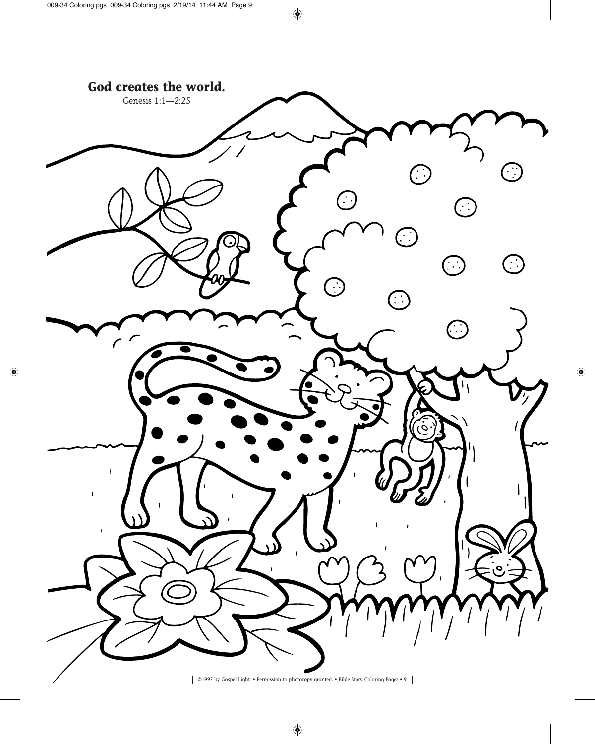